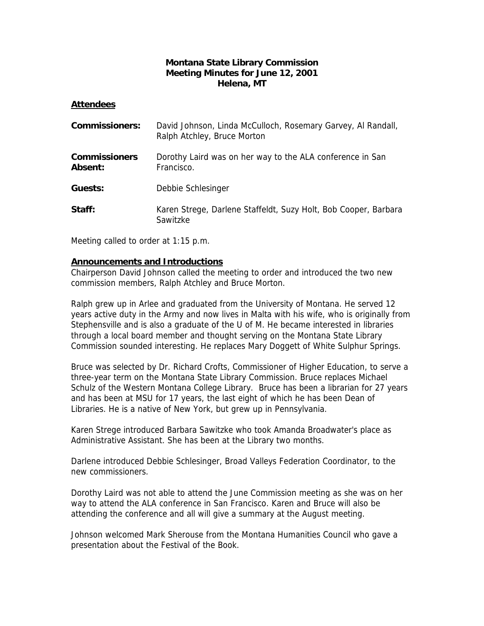## **Montana State Library Commission Meeting Minutes for June 12, 2001 Helena, MT**

### **Attendees**

| <b>Commissioners:</b>                  | David Johnson, Linda McCulloch, Rosemary Garvey, Al Randall,<br>Ralph Atchley, Bruce Morton |
|----------------------------------------|---------------------------------------------------------------------------------------------|
| <b>Commissioners</b><br><b>Absent:</b> | Dorothy Laird was on her way to the ALA conference in San<br>Francisco.                     |
| Guests:                                | Debbie Schlesinger                                                                          |
| Staff:                                 | Karen Strege, Darlene Staffeldt, Suzy Holt, Bob Cooper, Barbara<br>Sawitzke                 |

Meeting called to order at 1:15 p.m.

## **Announcements and Introductions**

Chairperson David Johnson called the meeting to order and introduced the two new commission members, Ralph Atchley and Bruce Morton.

Ralph grew up in Arlee and graduated from the University of Montana. He served 12 years active duty in the Army and now lives in Malta with his wife, who is originally from Stephensville and is also a graduate of the U of M. He became interested in libraries through a local board member and thought serving on the Montana State Library Commission sounded interesting. He replaces Mary Doggett of White Sulphur Springs.

Bruce was selected by Dr. Richard Crofts, Commissioner of Higher Education, to serve a three-year term on the Montana State Library Commission. Bruce replaces Michael Schulz of the Western Montana College Library. Bruce has been a librarian for 27 years and has been at MSU for 17 years, the last eight of which he has been Dean of Libraries. He is a native of New York, but grew up in Pennsylvania.

Karen Strege introduced Barbara Sawitzke who took Amanda Broadwater's place as Administrative Assistant. She has been at the Library two months.

Darlene introduced Debbie Schlesinger, Broad Valleys Federation Coordinator, to the new commissioners.

Dorothy Laird was not able to attend the June Commission meeting as she was on her way to attend the ALA conference in San Francisco. Karen and Bruce will also be attending the conference and all will give a summary at the August meeting.

Johnson welcomed Mark Sherouse from the Montana Humanities Council who gave a presentation about the Festival of the Book.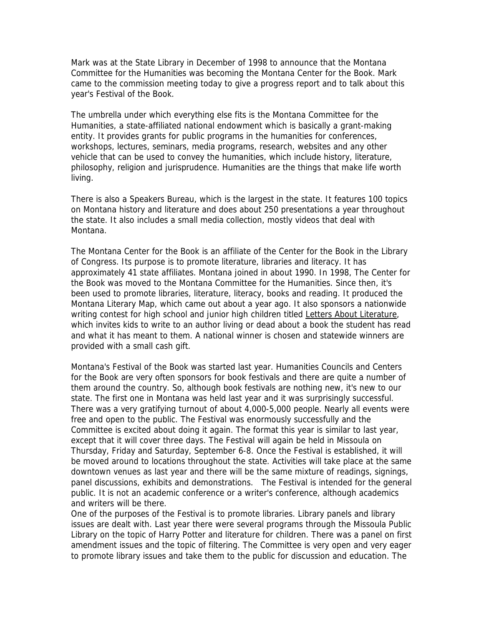Mark was at the State Library in December of 1998 to announce that the Montana Committee for the Humanities was becoming the Montana Center for the Book. Mark came to the commission meeting today to give a progress report and to talk about this year's Festival of the Book.

The umbrella under which everything else fits is the Montana Committee for the Humanities, a state-affiliated national endowment which is basically a grant-making entity. It provides grants for public programs in the humanities for conferences, workshops, lectures, seminars, media programs, research, websites and any other vehicle that can be used to convey the humanities, which include history, literature, philosophy, religion and jurisprudence. Humanities are the things that make life worth living.

There is also a Speakers Bureau, which is the largest in the state. It features 100 topics on Montana history and literature and does about 250 presentations a year throughout the state. It also includes a small media collection, mostly videos that deal with Montana.

The Montana Center for the Book is an affiliate of the Center for the Book in the Library of Congress. Its purpose is to promote literature, libraries and literacy. It has approximately 41 state affiliates. Montana joined in about 1990. In 1998, The Center for the Book was moved to the Montana Committee for the Humanities. Since then, it's been used to promote libraries, literature, literacy, books and reading. It produced the Montana Literary Map, which came out about a year ago. It also sponsors a nationwide writing contest for high school and junior high children titled Letters About Literature, which invites kids to write to an author living or dead about a book the student has read and what it has meant to them. A national winner is chosen and statewide winners are provided with a small cash gift.

Montana's Festival of the Book was started last year. Humanities Councils and Centers for the Book are very often sponsors for book festivals and there are quite a number of them around the country. So, although book festivals are nothing new, it's new to our state. The first one in Montana was held last year and it was surprisingly successful. There was a very gratifying turnout of about 4,000-5,000 people. Nearly all events were free and open to the public. The Festival was enormously successfully and the Committee is excited about doing it again. The format this year is similar to last year, except that it will cover three days. The Festival will again be held in Missoula on Thursday, Friday and Saturday, September 6-8. Once the Festival is established, it will be moved around to locations throughout the state. Activities will take place at the same downtown venues as last year and there will be the same mixture of readings, signings, panel discussions, exhibits and demonstrations. The Festival is intended for the general public. It is not an academic conference or a writer's conference, although academics and writers will be there.

One of the purposes of the Festival is to promote libraries. Library panels and library issues are dealt with. Last year there were several programs through the Missoula Public Library on the topic of Harry Potter and literature for children. There was a panel on first amendment issues and the topic of filtering. The Committee is very open and very eager to promote library issues and take them to the public for discussion and education. The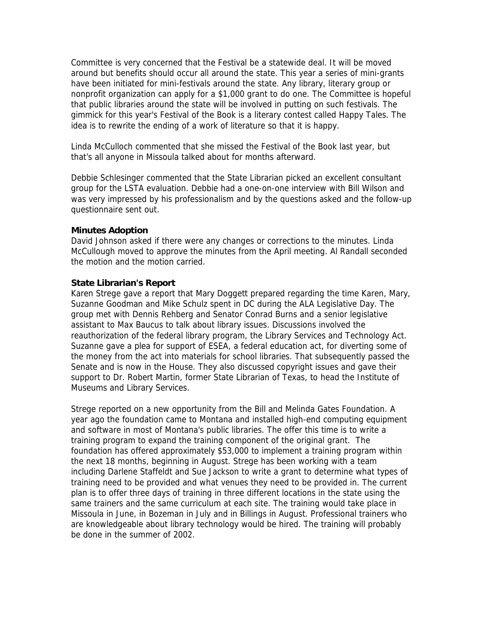Committee is very concerned that the Festival be a statewide deal. It will be moved around but benefits should occur all around the state. This year a series of mini-grants have been initiated for mini-festivals around the state. Any library, literary group or nonprofit organization can apply for a \$1,000 grant to do one. The Committee is hopeful that public libraries around the state will be involved in putting on such festivals. The gimmick for this year's Festival of the Book is a literary contest called Happy Tales. The idea is to rewrite the ending of a work of literature so that it is happy.

Linda McCulloch commented that she missed the Festival of the Book last year, but that's all anyone in Missoula talked about for months afterward.

Debbie Schlesinger commented that the State Librarian picked an excellent consultant group for the LSTA evaluation. Debbie had a one-on-one interview with Bill Wilson and was very impressed by his professionalism and by the questions asked and the follow-up questionnaire sent out.

#### **Minutes Adoption**

David Johnson asked if there were any changes or corrections to the minutes. Linda McCullough moved to approve the minutes from the April meeting. Al Randall seconded the motion and the motion carried.

#### **State Librarian's Report**

Karen Strege gave a report that Mary Doggett prepared regarding the time Karen, Mary, Suzanne Goodman and Mike Schulz spent in DC during the ALA Legislative Day. The group met with Dennis Rehberg and Senator Conrad Burns and a senior legislative assistant to Max Baucus to talk about library issues. Discussions involved the reauthorization of the federal library program, the Library Services and Technology Act. Suzanne gave a plea for support of ESEA, a federal education act, for diverting some of the money from the act into materials for school libraries. That subsequently passed the Senate and is now in the House. They also discussed copyright issues and gave their support to Dr. Robert Martin, former State Librarian of Texas, to head the Institute of Museums and Library Services.

Strege reported on a new opportunity from the Bill and Melinda Gates Foundation. A year ago the foundation came to Montana and installed high-end computing equipment and software in most of Montana's public libraries. The offer this time is to write a training program to expand the training component of the original grant. The foundation has offered approximately \$53,000 to implement a training program within the next 18 months, beginning in August. Strege has been working with a team including Darlene Staffeldt and Sue Jackson to write a grant to determine what types of training need to be provided and what venues they need to be provided in. The current plan is to offer three days of training in three different locations in the state using the same trainers and the same curriculum at each site. The training would take place in Missoula in June, in Bozeman in July and in Billings in August. Professional trainers who are knowledgeable about library technology would be hired. The training will probably be done in the summer of 2002.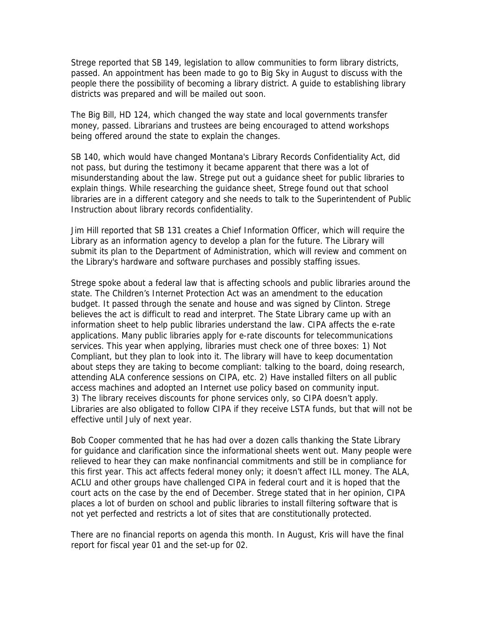Strege reported that SB 149, legislation to allow communities to form library districts, passed. An appointment has been made to go to Big Sky in August to discuss with the people there the possibility of becoming a library district. A guide to establishing library districts was prepared and will be mailed out soon.

The Big Bill, HD 124, which changed the way state and local governments transfer money, passed. Librarians and trustees are being encouraged to attend workshops being offered around the state to explain the changes.

SB 140, which would have changed Montana's Library Records Confidentiality Act, did not pass, but during the testimony it became apparent that there was a lot of misunderstanding about the law. Strege put out a guidance sheet for public libraries to explain things. While researching the guidance sheet, Strege found out that school libraries are in a different category and she needs to talk to the Superintendent of Public Instruction about library records confidentiality.

Jim Hill reported that SB 131 creates a Chief Information Officer, which will require the Library as an information agency to develop a plan for the future. The Library will submit its plan to the Department of Administration, which will review and comment on the Library's hardware and software purchases and possibly staffing issues.

Strege spoke about a federal law that is affecting schools and public libraries around the state. The Children's Internet Protection Act was an amendment to the education budget. It passed through the senate and house and was signed by Clinton. Strege believes the act is difficult to read and interpret. The State Library came up with an information sheet to help public libraries understand the law. CIPA affects the e-rate applications. Many public libraries apply for e-rate discounts for telecommunications services. This year when applying, libraries must check one of three boxes: 1) Not Compliant, but they plan to look into it. The library will have to keep documentation about steps they are taking to become compliant: talking to the board, doing research, attending ALA conference sessions on CIPA, etc. 2) Have installed filters on all public access machines and adopted an Internet use policy based on community input. 3) The library receives discounts for phone services only, so CIPA doesn't apply. Libraries are also obligated to follow CIPA if they receive LSTA funds, but that will not be effective until July of next year.

Bob Cooper commented that he has had over a dozen calls thanking the State Library for guidance and clarification since the informational sheets went out. Many people were relieved to hear they can make nonfinancial commitments and still be in compliance for this first year. This act affects federal money only; it doesn't affect ILL money. The ALA, ACLU and other groups have challenged CIPA in federal court and it is hoped that the court acts on the case by the end of December. Strege stated that in her opinion, CIPA places a lot of burden on school and public libraries to install filtering software that is not yet perfected and restricts a lot of sites that are constitutionally protected.

There are no financial reports on agenda this month. In August, Kris will have the final report for fiscal year 01 and the set-up for 02.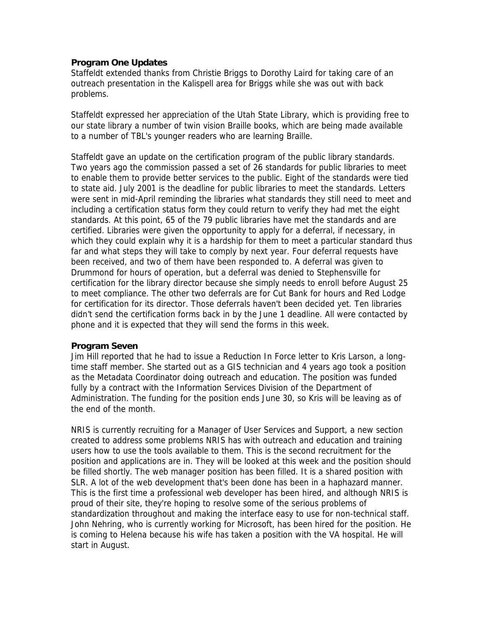## **Program One Updates**

Staffeldt extended thanks from Christie Briggs to Dorothy Laird for taking care of an outreach presentation in the Kalispell area for Briggs while she was out with back problems.

Staffeldt expressed her appreciation of the Utah State Library, which is providing free to our state library a number of twin vision Braille books, which are being made available to a number of TBL's younger readers who are learning Braille.

Staffeldt gave an update on the certification program of the public library standards. Two years ago the commission passed a set of 26 standards for public libraries to meet to enable them to provide better services to the public. Eight of the standards were tied to state aid. July 2001 is the deadline for public libraries to meet the standards. Letters were sent in mid-April reminding the libraries what standards they still need to meet and including a certification status form they could return to verify they had met the eight standards. At this point, 65 of the 79 public libraries have met the standards and are certified. Libraries were given the opportunity to apply for a deferral, if necessary, in which they could explain why it is a hardship for them to meet a particular standard thus far and what steps they will take to comply by next year. Four deferral requests have been received, and two of them have been responded to. A deferral was given to Drummond for hours of operation, but a deferral was denied to Stephensville for certification for the library director because she simply needs to enroll before August 25 to meet compliance. The other two deferrals are for Cut Bank for hours and Red Lodge for certification for its director. Those deferrals haven't been decided yet. Ten libraries didn't send the certification forms back in by the June 1 deadline. All were contacted by phone and it is expected that they will send the forms in this week.

#### **Program Seven**

Jim Hill reported that he had to issue a Reduction In Force letter to Kris Larson, a longtime staff member. She started out as a GIS technician and 4 years ago took a position as the Metadata Coordinator doing outreach and education. The position was funded fully by a contract with the Information Services Division of the Department of Administration. The funding for the position ends June 30, so Kris will be leaving as of the end of the month.

NRIS is currently recruiting for a Manager of User Services and Support, a new section created to address some problems NRIS has with outreach and education and training users how to use the tools available to them. This is the second recruitment for the position and applications are in. They will be looked at this week and the position should be filled shortly. The web manager position has been filled. It is a shared position with SLR. A lot of the web development that's been done has been in a haphazard manner. This is the first time a professional web developer has been hired, and although NRIS is proud of their site, they're hoping to resolve some of the serious problems of standardization throughout and making the interface easy to use for non-technical staff. John Nehring, who is currently working for Microsoft, has been hired for the position. He is coming to Helena because his wife has taken a position with the VA hospital. He will start in August.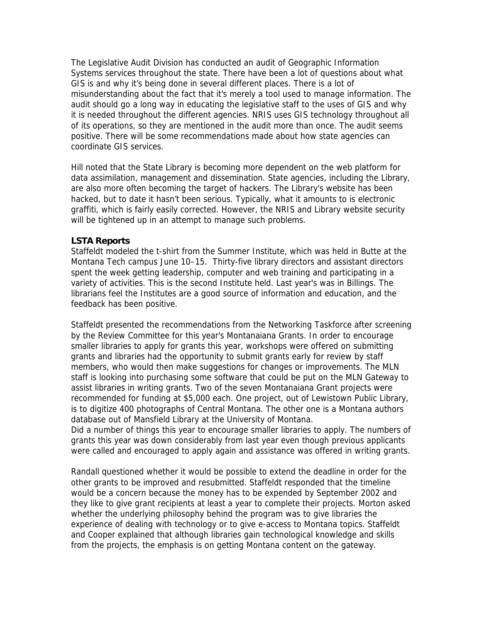The Legislative Audit Division has conducted an audit of Geographic Information Systems services throughout the state. There have been a lot of questions about what GIS is and why it's being done in several different places. There is a lot of misunderstanding about the fact that it's merely a tool used to manage information. The audit should go a long way in educating the legislative staff to the uses of GIS and why it is needed throughout the different agencies. NRIS uses GIS technology throughout all of its operations, so they are mentioned in the audit more than once. The audit seems positive. There will be some recommendations made about how state agencies can coordinate GIS services.

Hill noted that the State Library is becoming more dependent on the web platform for data assimilation, management and dissemination. State agencies, including the Library, are also more often becoming the target of hackers. The Library's website has been hacked, but to date it hasn't been serious. Typically, what it amounts to is electronic graffiti, which is fairly easily corrected. However, the NRIS and Library website security will be tightened up in an attempt to manage such problems.

#### **LSTA Reports**

Staffeldt modeled the t-shirt from the Summer Institute, which was held in Butte at the Montana Tech campus June 10–15. Thirty-five library directors and assistant directors spent the week getting leadership, computer and web training and participating in a variety of activities. This is the second Institute held. Last year's was in Billings. The librarians feel the Institutes are a good source of information and education, and the feedback has been positive.

Staffeldt presented the recommendations from the Networking Taskforce after screening by the Review Committee for this year's Montanaiana Grants. In order to encourage smaller libraries to apply for grants this year, workshops were offered on submitting grants and libraries had the opportunity to submit grants early for review by staff members, who would then make suggestions for changes or improvements. The MLN staff is looking into purchasing some software that could be put on the MLN Gateway to assist libraries in writing grants. Two of the seven Montanaiana Grant projects were recommended for funding at \$5,000 each. One project, out of Lewistown Public Library, is to digitize 400 photographs of Central Montana. The other one is a Montana authors database out of Mansfield Library at the University of Montana.

Did a number of things this year to encourage smaller libraries to apply. The numbers of grants this year was down considerably from last year even though previous applicants were called and encouraged to apply again and assistance was offered in writing grants.

Randall questioned whether it would be possible to extend the deadline in order for the other grants to be improved and resubmitted. Staffeldt responded that the timeline would be a concern because the money has to be expended by September 2002 and they like to give grant recipients at least a year to complete their projects. Morton asked whether the underlying philosophy behind the program was to give libraries the experience of dealing with technology or to give e-access to Montana topics. Staffeldt and Cooper explained that although libraries gain technological knowledge and skills from the projects, the emphasis is on getting Montana content on the gateway.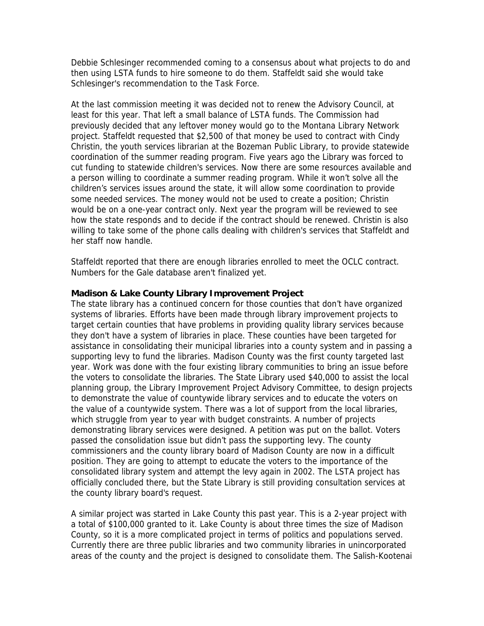Debbie Schlesinger recommended coming to a consensus about what projects to do and then using LSTA funds to hire someone to do them. Staffeldt said she would take Schlesinger's recommendation to the Task Force.

At the last commission meeting it was decided not to renew the Advisory Council, at least for this year. That left a small balance of LSTA funds. The Commission had previously decided that any leftover money would go to the Montana Library Network project. Staffeldt requested that \$2,500 of that money be used to contract with Cindy Christin, the youth services librarian at the Bozeman Public Library, to provide statewide coordination of the summer reading program. Five years ago the Library was forced to cut funding to statewide children's services. Now there are some resources available and a person willing to coordinate a summer reading program. While it won't solve all the children's services issues around the state, it will allow some coordination to provide some needed services. The money would not be used to create a position; Christin would be on a one-year contract only. Next year the program will be reviewed to see how the state responds and to decide if the contract should be renewed. Christin is also willing to take some of the phone calls dealing with children's services that Staffeldt and her staff now handle.

Staffeldt reported that there are enough libraries enrolled to meet the OCLC contract. Numbers for the Gale database aren't finalized yet.

#### **Madison & Lake County Library Improvement Project**

The state library has a continued concern for those counties that don't have organized systems of libraries. Efforts have been made through library improvement projects to target certain counties that have problems in providing quality library services because they don't have a system of libraries in place. These counties have been targeted for assistance in consolidating their municipal libraries into a county system and in passing a supporting levy to fund the libraries. Madison County was the first county targeted last year. Work was done with the four existing library communities to bring an issue before the voters to consolidate the libraries. The State Library used \$40,000 to assist the local planning group, the Library Improvement Project Advisory Committee, to design projects to demonstrate the value of countywide library services and to educate the voters on the value of a countywide system. There was a lot of support from the local libraries, which struggle from year to year with budget constraints. A number of projects demonstrating library services were designed. A petition was put on the ballot. Voters passed the consolidation issue but didn't pass the supporting levy. The county commissioners and the county library board of Madison County are now in a difficult position. They are going to attempt to educate the voters to the importance of the consolidated library system and attempt the levy again in 2002. The LSTA project has officially concluded there, but the State Library is still providing consultation services at the county library board's request.

A similar project was started in Lake County this past year. This is a 2-year project with a total of \$100,000 granted to it. Lake County is about three times the size of Madison County, so it is a more complicated project in terms of politics and populations served. Currently there are three public libraries and two community libraries in unincorporated areas of the county and the project is designed to consolidate them. The Salish-Kootenai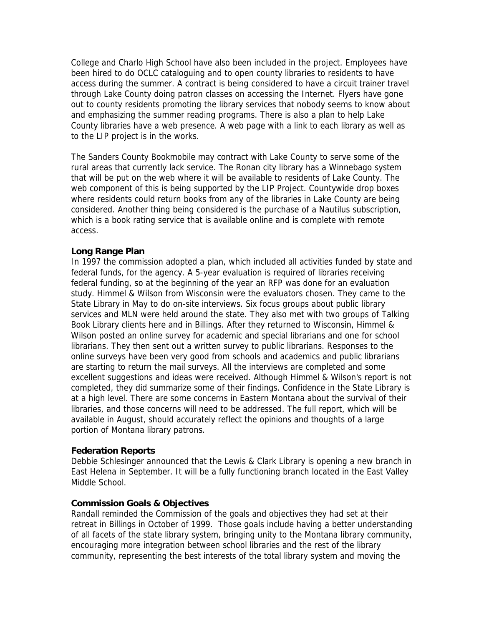College and Charlo High School have also been included in the project. Employees have been hired to do OCLC cataloguing and to open county libraries to residents to have access during the summer. A contract is being considered to have a circuit trainer travel through Lake County doing patron classes on accessing the Internet. Flyers have gone out to county residents promoting the library services that nobody seems to know about and emphasizing the summer reading programs. There is also a plan to help Lake County libraries have a web presence. A web page with a link to each library as well as to the LIP project is in the works.

The Sanders County Bookmobile may contract with Lake County to serve some of the rural areas that currently lack service. The Ronan city library has a Winnebago system that will be put on the web where it will be available to residents of Lake County. The web component of this is being supported by the LIP Project. Countywide drop boxes where residents could return books from any of the libraries in Lake County are being considered. Another thing being considered is the purchase of a Nautilus subscription, which is a book rating service that is available online and is complete with remote access.

## **Long Range Plan**

In 1997 the commission adopted a plan, which included all activities funded by state and federal funds, for the agency. A 5-year evaluation is required of libraries receiving federal funding, so at the beginning of the year an RFP was done for an evaluation study. Himmel & Wilson from Wisconsin were the evaluators chosen. They came to the State Library in May to do on-site interviews. Six focus groups about public library services and MLN were held around the state. They also met with two groups of Talking Book Library clients here and in Billings. After they returned to Wisconsin, Himmel & Wilson posted an online survey for academic and special librarians and one for school librarians. They then sent out a written survey to public librarians. Responses to the online surveys have been very good from schools and academics and public librarians are starting to return the mail surveys. All the interviews are completed and some excellent suggestions and ideas were received. Although Himmel & Wilson's report is not completed, they did summarize some of their findings. Confidence in the State Library is at a high level. There are some concerns in Eastern Montana about the survival of their libraries, and those concerns will need to be addressed. The full report, which will be available in August, should accurately reflect the opinions and thoughts of a large portion of Montana library patrons.

#### **Federation Reports**

Debbie Schlesinger announced that the Lewis & Clark Library is opening a new branch in East Helena in September. It will be a fully functioning branch located in the East Valley Middle School.

#### **Commission Goals & Objectives**

Randall reminded the Commission of the goals and objectives they had set at their retreat in Billings in October of 1999. Those goals include having a better understanding of all facets of the state library system, bringing unity to the Montana library community, encouraging more integration between school libraries and the rest of the library community, representing the best interests of the total library system and moving the